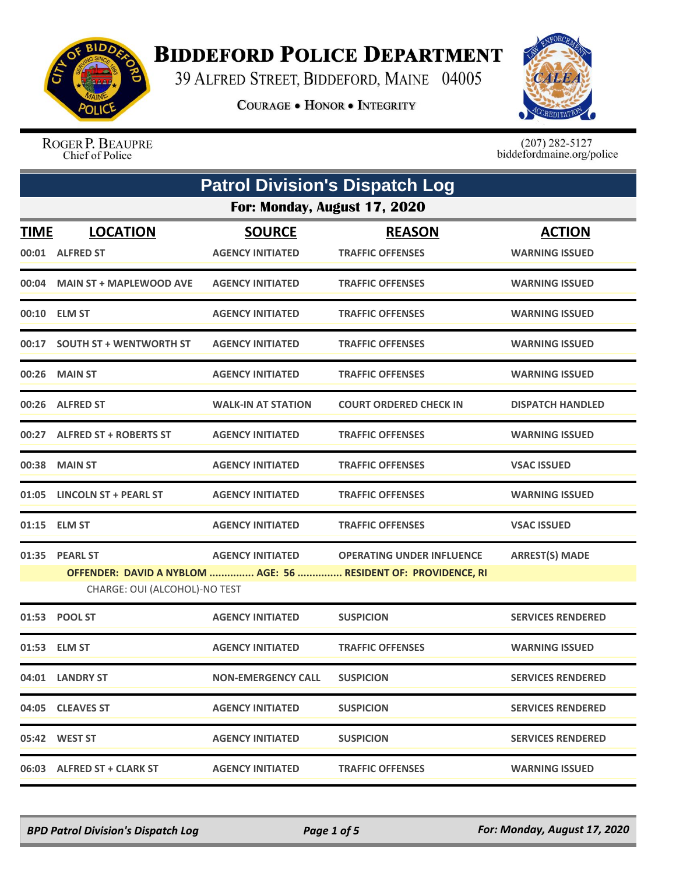

## **BIDDEFORD POLICE DEPARTMENT**

39 ALFRED STREET, BIDDEFORD, MAINE 04005

**COURAGE . HONOR . INTEGRITY** 



ROGER P. BEAUPRE Chief of Police

 $(207)$  282-5127<br>biddefordmaine.org/police

|             | <b>Patrol Division's Dispatch Log</b>           |                                          |                                                                                                    |                                        |  |  |  |
|-------------|-------------------------------------------------|------------------------------------------|----------------------------------------------------------------------------------------------------|----------------------------------------|--|--|--|
|             | For: Monday, August 17, 2020                    |                                          |                                                                                                    |                                        |  |  |  |
| <b>TIME</b> | <b>LOCATION</b><br>00:01 ALFRED ST              | <b>SOURCE</b><br><b>AGENCY INITIATED</b> | <b>REASON</b><br><b>TRAFFIC OFFENSES</b>                                                           | <b>ACTION</b><br><b>WARNING ISSUED</b> |  |  |  |
|             | 00:04 MAIN ST + MAPLEWOOD AVE                   | <b>AGENCY INITIATED</b>                  | <b>TRAFFIC OFFENSES</b>                                                                            | <b>WARNING ISSUED</b>                  |  |  |  |
|             | 00:10 ELM ST                                    | <b>AGENCY INITIATED</b>                  | <b>TRAFFIC OFFENSES</b>                                                                            | <b>WARNING ISSUED</b>                  |  |  |  |
|             | 00:17 SOUTH ST + WENTWORTH ST                   | <b>AGENCY INITIATED</b>                  | <b>TRAFFIC OFFENSES</b>                                                                            | <b>WARNING ISSUED</b>                  |  |  |  |
| 00:26       | <b>MAIN ST</b>                                  | <b>AGENCY INITIATED</b>                  | <b>TRAFFIC OFFENSES</b>                                                                            | <b>WARNING ISSUED</b>                  |  |  |  |
|             | 00:26 ALFRED ST                                 | <b>WALK-IN AT STATION</b>                | <b>COURT ORDERED CHECK IN</b>                                                                      | <b>DISPATCH HANDLED</b>                |  |  |  |
|             | 00:27 ALFRED ST + ROBERTS ST                    | <b>AGENCY INITIATED</b>                  | <b>TRAFFIC OFFENSES</b>                                                                            | <b>WARNING ISSUED</b>                  |  |  |  |
|             | 00:38 MAIN ST                                   | <b>AGENCY INITIATED</b>                  | <b>TRAFFIC OFFENSES</b>                                                                            | <b>VSAC ISSUED</b>                     |  |  |  |
|             | 01:05 LINCOLN ST + PEARL ST                     | <b>AGENCY INITIATED</b>                  | <b>TRAFFIC OFFENSES</b>                                                                            | <b>WARNING ISSUED</b>                  |  |  |  |
|             | 01:15 ELM ST                                    | <b>AGENCY INITIATED</b>                  | <b>TRAFFIC OFFENSES</b>                                                                            | <b>VSAC ISSUED</b>                     |  |  |  |
|             | 01:35 PEARL ST<br>CHARGE: OUI (ALCOHOL)-NO TEST | <b>AGENCY INITIATED</b>                  | <b>OPERATING UNDER INFLUENCE</b><br>OFFENDER: DAVID A NYBLOM  AGE: 56  RESIDENT OF: PROVIDENCE, RI | <b>ARREST(S) MADE</b>                  |  |  |  |
|             | 01:53 POOL ST                                   | <b>AGENCY INITIATED</b>                  | <b>SUSPICION</b>                                                                                   | <b>SERVICES RENDERED</b>               |  |  |  |
|             | 01:53 ELM ST                                    | <b>AGENCY INITIATED</b>                  | <b>TRAFFIC OFFENSES</b>                                                                            | <b>WARNING ISSUED</b>                  |  |  |  |
|             | 04:01 LANDRY ST                                 | <b>NON-EMERGENCY CALL</b>                | <b>SUSPICION</b>                                                                                   | <b>SERVICES RENDERED</b>               |  |  |  |
|             | 04:05 CLEAVES ST                                | <b>AGENCY INITIATED</b>                  | <b>SUSPICION</b>                                                                                   | <b>SERVICES RENDERED</b>               |  |  |  |
|             | 05:42 WEST ST                                   | <b>AGENCY INITIATED</b>                  | <b>SUSPICION</b>                                                                                   | <b>SERVICES RENDERED</b>               |  |  |  |
|             | 06:03 ALFRED ST + CLARK ST                      | <b>AGENCY INITIATED</b>                  | <b>TRAFFIC OFFENSES</b>                                                                            | <b>WARNING ISSUED</b>                  |  |  |  |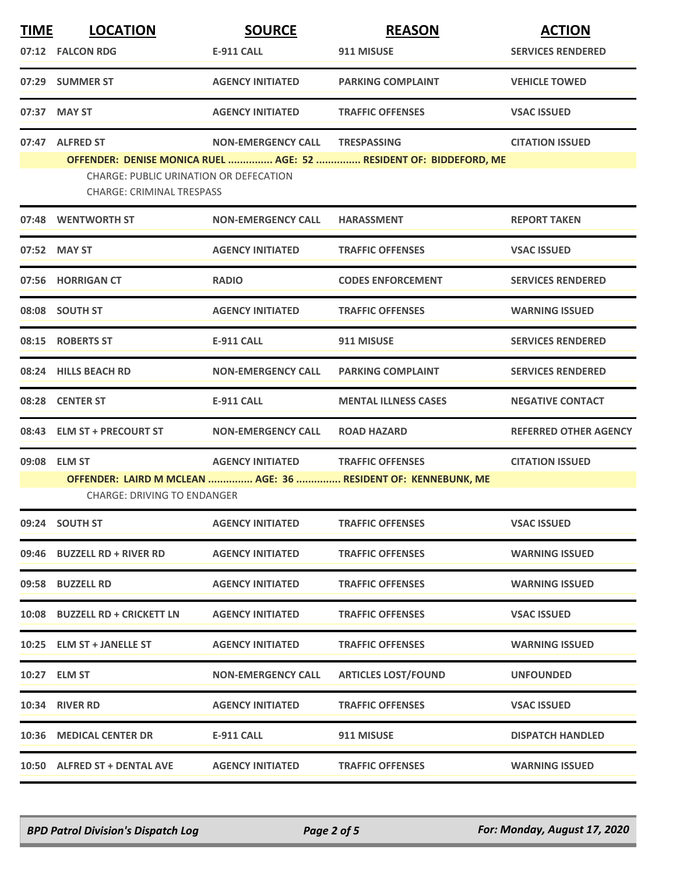| <b>TIME</b> | <b>LOCATION</b>                                                                                     | <b>SOURCE</b>                     | <b>REASON</b>                                                     | <b>ACTION</b>                |  |
|-------------|-----------------------------------------------------------------------------------------------------|-----------------------------------|-------------------------------------------------------------------|------------------------------|--|
|             | 07:12 FALCON RDG                                                                                    | E-911 CALL                        | 911 MISUSE                                                        | <b>SERVICES RENDERED</b>     |  |
|             | 07:29 SUMMER ST                                                                                     | <b>AGENCY INITIATED</b>           | <b>PARKING COMPLAINT</b>                                          | <b>VEHICLE TOWED</b>         |  |
| 07:37       | <b>MAY ST</b>                                                                                       | <b>AGENCY INITIATED</b>           | <b>TRAFFIC OFFENSES</b>                                           | <b>VSAC ISSUED</b>           |  |
|             | 07:47 ALFRED ST                                                                                     | <b>NON-EMERGENCY CALL</b>         | <b>TRESPASSING</b>                                                | <b>CITATION ISSUED</b>       |  |
|             | <b>CHARGE: PUBLIC URINATION OR DEFECATION</b><br><b>CHARGE: CRIMINAL TRESPASS</b>                   |                                   | OFFENDER: DENISE MONICA RUEL  AGE: 52  RESIDENT OF: BIDDEFORD, ME |                              |  |
|             | 07:48 WENTWORTH ST                                                                                  | <b>NON-EMERGENCY CALL</b>         | <b>HARASSMENT</b>                                                 | <b>REPORT TAKEN</b>          |  |
|             | 07:52 MAY ST                                                                                        | <b>AGENCY INITIATED</b>           | <b>TRAFFIC OFFENSES</b>                                           | <b>VSAC ISSUED</b>           |  |
|             | 07:56 HORRIGAN CT                                                                                   | <b>RADIO</b>                      | <b>CODES ENFORCEMENT</b>                                          | <b>SERVICES RENDERED</b>     |  |
|             | 08:08 SOUTH ST                                                                                      | <b>AGENCY INITIATED</b>           | <b>TRAFFIC OFFENSES</b>                                           | <b>WARNING ISSUED</b>        |  |
|             | 08:15 ROBERTS ST                                                                                    | <b>E-911 CALL</b>                 | 911 MISUSE                                                        | <b>SERVICES RENDERED</b>     |  |
|             | 08:24 HILLS BEACH RD                                                                                | <b>NON-EMERGENCY CALL</b>         | <b>PARKING COMPLAINT</b>                                          | <b>SERVICES RENDERED</b>     |  |
|             | 08:28 CENTER ST                                                                                     | <b>E-911 CALL</b>                 | <b>MENTAL ILLNESS CASES</b>                                       | <b>NEGATIVE CONTACT</b>      |  |
|             | 08:43 ELM ST + PRECOURT ST                                                                          | <b>NON-EMERGENCY CALL</b>         | <b>ROAD HAZARD</b>                                                | <b>REFERRED OTHER AGENCY</b> |  |
|             | 09:08 ELM ST                                                                                        | AGENCY INITIATED TRAFFIC OFFENSES |                                                                   | <b>CITATION ISSUED</b>       |  |
|             | OFFENDER: LAIRD M MCLEAN  AGE: 36  RESIDENT OF: KENNEBUNK, ME<br><b>CHARGE: DRIVING TO ENDANGER</b> |                                   |                                                                   |                              |  |
|             | 09:24 SOUTH ST                                                                                      | <b>AGENCY INITIATED</b>           | <b>TRAFFIC OFFENSES</b>                                           | <b>VSAC ISSUED</b>           |  |
|             | 09:46 BUZZELL RD + RIVER RD                                                                         | <b>AGENCY INITIATED</b>           | <b>TRAFFIC OFFENSES</b>                                           | <b>WARNING ISSUED</b>        |  |
|             | 09:58 BUZZELL RD                                                                                    | <b>AGENCY INITIATED</b>           | <b>TRAFFIC OFFENSES</b>                                           | <b>WARNING ISSUED</b>        |  |
|             | 10:08 BUZZELL RD + CRICKETT LN                                                                      | <b>AGENCY INITIATED</b>           | <b>TRAFFIC OFFENSES</b>                                           | <b>VSAC ISSUED</b>           |  |
|             | 10:25 ELM ST + JANELLE ST                                                                           | <b>AGENCY INITIATED</b>           | <b>TRAFFIC OFFENSES</b>                                           | <b>WARNING ISSUED</b>        |  |
|             | 10:27 ELM ST                                                                                        | <b>NON-EMERGENCY CALL</b>         | <b>ARTICLES LOST/FOUND</b>                                        | <b>UNFOUNDED</b>             |  |
|             | 10:34 RIVER RD                                                                                      | <b>AGENCY INITIATED</b>           | <b>TRAFFIC OFFENSES</b>                                           | <b>VSAC ISSUED</b>           |  |
|             | 10:36 MEDICAL CENTER DR                                                                             | E-911 CALL                        | 911 MISUSE                                                        | <b>DISPATCH HANDLED</b>      |  |
|             | 10:50 ALFRED ST + DENTAL AVE                                                                        | <b>AGENCY INITIATED</b>           | <b>TRAFFIC OFFENSES</b>                                           | <b>WARNING ISSUED</b>        |  |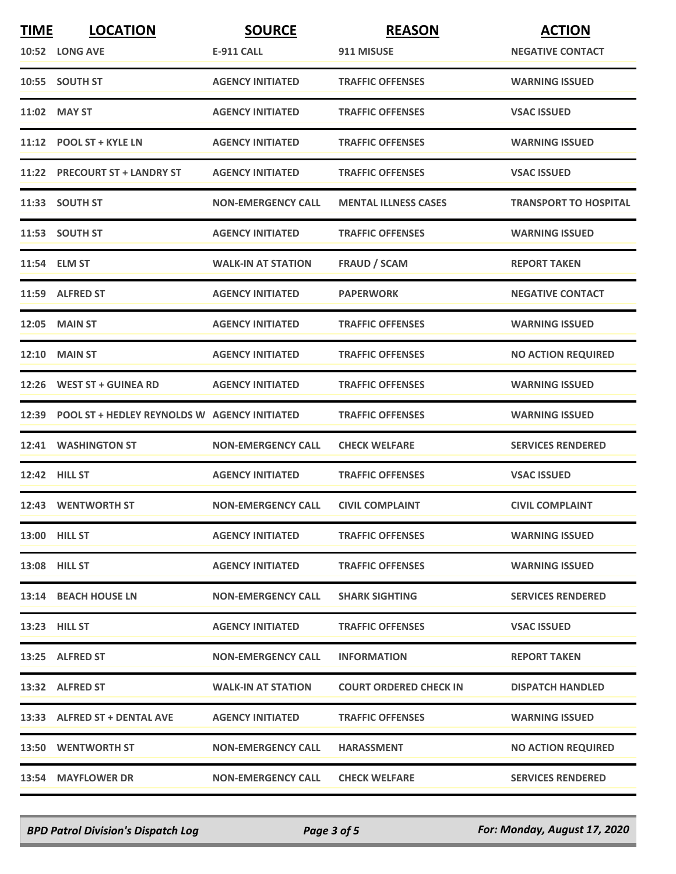| <b>TIME</b> | <b>LOCATION</b>                                    | <b>SOURCE</b>             | <b>REASON</b>                 | <b>ACTION</b>                |
|-------------|----------------------------------------------------|---------------------------|-------------------------------|------------------------------|
|             | 10:52 LONG AVE                                     | <b>E-911 CALL</b>         | 911 MISUSE                    | <b>NEGATIVE CONTACT</b>      |
|             | 10:55 SOUTH ST                                     | <b>AGENCY INITIATED</b>   | <b>TRAFFIC OFFENSES</b>       | <b>WARNING ISSUED</b>        |
|             | 11:02 MAY ST                                       | <b>AGENCY INITIATED</b>   | <b>TRAFFIC OFFENSES</b>       | <b>VSAC ISSUED</b>           |
|             | 11:12 POOL ST + KYLE LN                            | <b>AGENCY INITIATED</b>   | <b>TRAFFIC OFFENSES</b>       | <b>WARNING ISSUED</b>        |
|             | 11:22 PRECOURT ST + LANDRY ST                      | <b>AGENCY INITIATED</b>   | <b>TRAFFIC OFFENSES</b>       | <b>VSAC ISSUED</b>           |
|             | 11:33 SOUTH ST                                     | <b>NON-EMERGENCY CALL</b> | <b>MENTAL ILLNESS CASES</b>   | <b>TRANSPORT TO HOSPITAL</b> |
|             | 11:53 SOUTH ST                                     | <b>AGENCY INITIATED</b>   | <b>TRAFFIC OFFENSES</b>       | <b>WARNING ISSUED</b>        |
|             | 11:54 ELM ST                                       | <b>WALK-IN AT STATION</b> | <b>FRAUD / SCAM</b>           | <b>REPORT TAKEN</b>          |
|             | 11:59 ALFRED ST                                    | <b>AGENCY INITIATED</b>   | <b>PAPERWORK</b>              | <b>NEGATIVE CONTACT</b>      |
|             | 12:05 MAIN ST                                      | <b>AGENCY INITIATED</b>   | <b>TRAFFIC OFFENSES</b>       | <b>WARNING ISSUED</b>        |
|             | <b>12:10 MAIN ST</b>                               | <b>AGENCY INITIATED</b>   | <b>TRAFFIC OFFENSES</b>       | <b>NO ACTION REQUIRED</b>    |
|             | 12:26 WEST ST + GUINEA RD                          | <b>AGENCY INITIATED</b>   | <b>TRAFFIC OFFENSES</b>       | <b>WARNING ISSUED</b>        |
|             | 12:39 POOL ST + HEDLEY REYNOLDS W AGENCY INITIATED |                           | <b>TRAFFIC OFFENSES</b>       | <b>WARNING ISSUED</b>        |
|             | 12:41 WASHINGTON ST                                | <b>NON-EMERGENCY CALL</b> | <b>CHECK WELFARE</b>          | <b>SERVICES RENDERED</b>     |
|             | 12:42 HILL ST                                      | <b>AGENCY INITIATED</b>   | <b>TRAFFIC OFFENSES</b>       | <b>VSAC ISSUED</b>           |
|             | 12:43 WENTWORTH ST                                 | <b>NON-EMERGENCY CALL</b> | <b>CIVIL COMPLAINT</b>        | <b>CIVIL COMPLAINT</b>       |
|             | 13:00 HILL ST                                      | <b>AGENCY INITIATED</b>   | <b>TRAFFIC OFFENSES</b>       | <b>WARNING ISSUED</b>        |
|             | <b>13:08 HILL ST</b>                               | <b>AGENCY INITIATED</b>   | <b>TRAFFIC OFFENSES</b>       | <b>WARNING ISSUED</b>        |
|             | 13:14 BEACH HOUSE LN                               | <b>NON-EMERGENCY CALL</b> | <b>SHARK SIGHTING</b>         | <b>SERVICES RENDERED</b>     |
|             | 13:23 HILL ST                                      | <b>AGENCY INITIATED</b>   | <b>TRAFFIC OFFENSES</b>       | <b>VSAC ISSUED</b>           |
|             | 13:25 ALFRED ST                                    | <b>NON-EMERGENCY CALL</b> | <b>INFORMATION</b>            | <b>REPORT TAKEN</b>          |
|             | 13:32 ALFRED ST                                    | <b>WALK-IN AT STATION</b> | <b>COURT ORDERED CHECK IN</b> | <b>DISPATCH HANDLED</b>      |
|             | 13:33 ALFRED ST + DENTAL AVE                       | <b>AGENCY INITIATED</b>   | <b>TRAFFIC OFFENSES</b>       | <b>WARNING ISSUED</b>        |
|             | <b>13:50 WENTWORTH ST</b>                          | <b>NON-EMERGENCY CALL</b> | <b>HARASSMENT</b>             | <b>NO ACTION REQUIRED</b>    |
|             | 13:54 MAYFLOWER DR                                 | <b>NON-EMERGENCY CALL</b> | <b>CHECK WELFARE</b>          | <b>SERVICES RENDERED</b>     |

*BPD Patrol Division's Dispatch Log Page 3 of 5 For: Monday, August 17, 2020*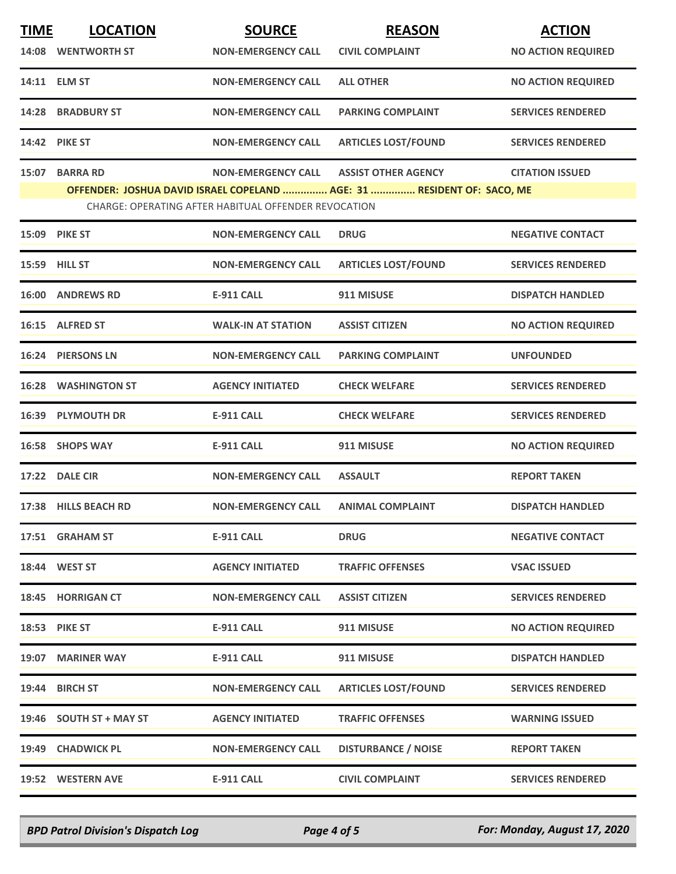| <b>TIME</b> | <b>LOCATION</b>            | <b>SOURCE</b>                                        | <b>REASON</b>                                                          | <b>ACTION</b>             |
|-------------|----------------------------|------------------------------------------------------|------------------------------------------------------------------------|---------------------------|
|             | 14:08 WENTWORTH ST         | <b>NON-EMERGENCY CALL</b>                            | <b>CIVIL COMPLAINT</b>                                                 | <b>NO ACTION REQUIRED</b> |
|             | 14:11 ELM ST               | <b>NON-EMERGENCY CALL</b>                            | <b>ALL OTHER</b>                                                       | <b>NO ACTION REQUIRED</b> |
|             | 14:28 BRADBURY ST          | <b>NON-EMERGENCY CALL</b>                            | <b>PARKING COMPLAINT</b>                                               | <b>SERVICES RENDERED</b>  |
|             | 14:42 PIKE ST              | <b>NON-EMERGENCY CALL</b>                            | <b>ARTICLES LOST/FOUND</b>                                             | <b>SERVICES RENDERED</b>  |
|             | 15:07 BARRA RD             | <b>NON-EMERGENCY CALL</b>                            | <b>ASSIST OTHER AGENCY</b>                                             | <b>CITATION ISSUED</b>    |
|             |                            | CHARGE: OPERATING AFTER HABITUAL OFFENDER REVOCATION | OFFENDER: JOSHUA DAVID ISRAEL COPELAND  AGE: 31  RESIDENT OF: SACO, ME |                           |
|             | 15:09 PIKE ST              | <b>NON-EMERGENCY CALL</b>                            | <b>DRUG</b>                                                            | <b>NEGATIVE CONTACT</b>   |
|             | 15:59 HILL ST              | <b>NON-EMERGENCY CALL</b>                            | <b>ARTICLES LOST/FOUND</b>                                             | <b>SERVICES RENDERED</b>  |
|             | <b>16:00 ANDREWS RD</b>    | <b>E-911 CALL</b>                                    | 911 MISUSE                                                             | <b>DISPATCH HANDLED</b>   |
|             | 16:15 ALFRED ST            | <b>WALK-IN AT STATION</b>                            | <b>ASSIST CITIZEN</b>                                                  | <b>NO ACTION REQUIRED</b> |
|             | 16:24 PIERSONS LN          | <b>NON-EMERGENCY CALL</b>                            | <b>PARKING COMPLAINT</b>                                               | <b>UNFOUNDED</b>          |
|             | <b>16:28 WASHINGTON ST</b> | <b>AGENCY INITIATED</b>                              | <b>CHECK WELFARE</b>                                                   | <b>SERVICES RENDERED</b>  |
|             | 16:39 PLYMOUTH DR          | <b>E-911 CALL</b>                                    | <b>CHECK WELFARE</b>                                                   | <b>SERVICES RENDERED</b>  |
|             | 16:58 SHOPS WAY            | E-911 CALL                                           | 911 MISUSE                                                             | <b>NO ACTION REQUIRED</b> |
|             | 17:22 DALE CIR             | <b>NON-EMERGENCY CALL</b>                            | <b>ASSAULT</b>                                                         | <b>REPORT TAKEN</b>       |
|             | 17:38 HILLS BEACH RD       | <b>NON-EMERGENCY CALL</b>                            | <b>ANIMAL COMPLAINT</b>                                                | <b>DISPATCH HANDLED</b>   |
|             | 17:51 GRAHAM ST            | <b>E-911 CALL</b>                                    | <b>DRUG</b>                                                            | <b>NEGATIVE CONTACT</b>   |
|             | 18:44 WEST ST              | <b>AGENCY INITIATED</b>                              | <b>TRAFFIC OFFENSES</b>                                                | <b>VSAC ISSUED</b>        |
|             | 18:45 HORRIGAN CT          | <b>NON-EMERGENCY CALL</b>                            | <b>ASSIST CITIZEN</b>                                                  | <b>SERVICES RENDERED</b>  |
|             | 18:53 PIKE ST              | <b>E-911 CALL</b>                                    | 911 MISUSE                                                             | <b>NO ACTION REQUIRED</b> |
|             | 19:07 MARINER WAY          | E-911 CALL                                           | 911 MISUSE                                                             | <b>DISPATCH HANDLED</b>   |
|             | 19:44 BIRCH ST             | <b>NON-EMERGENCY CALL</b>                            | <b>ARTICLES LOST/FOUND</b>                                             | <b>SERVICES RENDERED</b>  |
|             | 19:46 SOUTH ST + MAY ST    | <b>AGENCY INITIATED</b>                              | <b>TRAFFIC OFFENSES</b>                                                | <b>WARNING ISSUED</b>     |
|             | 19:49 CHADWICK PL          | <b>NON-EMERGENCY CALL</b>                            | <b>DISTURBANCE / NOISE</b>                                             | <b>REPORT TAKEN</b>       |
|             | 19:52 WESTERN AVE          | E-911 CALL                                           | <b>CIVIL COMPLAINT</b>                                                 | <b>SERVICES RENDERED</b>  |

*BPD Patrol Division's Dispatch Log Page 4 of 5 For: Monday, August 17, 2020*